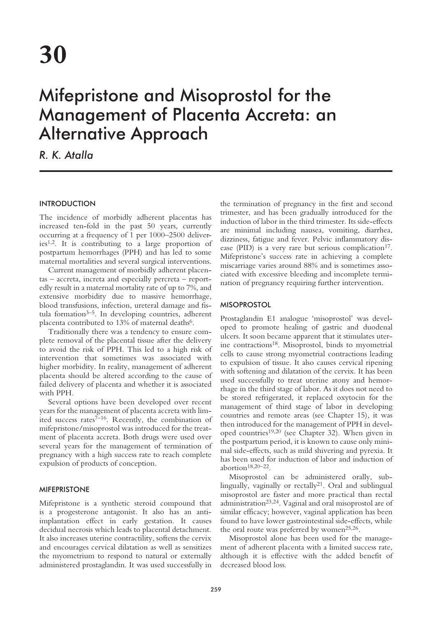# Mifepristone and Misoprostol for the Management of Placenta Accreta: an Alternative Approach

# *R. K. Atalla*

# **INTRODUCTION**

The incidence of morbidly adherent placentas has increased ten-fold in the past 50 years, currently occurring at a frequency of 1 per 1000–2500 deliveries1,2. It is contributing to a large proportion of postpartum hemorrhages (PPH) and has led to some maternal mortalities and several surgical interventions.

Current management of morbidly adherent placentas – accreta, increta and especially percreta – reportedly result in a maternal mortality rate of up to 7%, and extensive morbidity due to massive hemorrhage, blood transfusions, infection, ureteral damage and fistula formation $3-5$ . In developing countries, adherent placenta contributed to 13% of maternal deaths<sup>6</sup>.

Traditionally there was a tendency to ensure complete removal of the placental tissue after the delivery to avoid the risk of PPH. This led to a high risk of intervention that sometimes was associated with higher morbidity. In reality, management of adherent placenta should be altered according to the cause of failed delivery of placenta and whether it is associated with PPH.

Several options have been developed over recent years for the management of placenta accreta with limited success rates $7-16$ . Recently, the combination of mifepristone/misoprostol was introduced for the treatment of placenta accreta. Both drugs were used over several years for the management of termination of pregnancy with a high success rate to reach complete expulsion of products of conception.

# MIFEPRISTONE

Mifepristone is a synthetic steroid compound that is a progesterone antagonist. It also has an antiimplantation effect in early gestation. It causes decidual necrosis which leads to placental detachment. It also increases uterine contractility, softens the cervix and encourages cervical dilatation as well as sensitizes the myometrium to respond to natural or externally administered prostaglandin. It was used successfully in

the termination of pregnancy in the first and second trimester, and has been gradually introduced for the induction of labor in the third trimester. Its side-effects are minimal including nausea, vomiting, diarrhea, dizziness, fatigue and fever. Pelvic inflammatory disease (PID) is a very rare but serious complication<sup>17</sup>. Mifepristone's success rate in achieving a complete miscarriage varies around 88% and is sometimes associated with excessive bleeding and incomplete termination of pregnancy requiring further intervention.

#### **MISOPROSTOL**

Prostaglandin E1 analogue 'misoprostol' was developed to promote healing of gastric and duodenal ulcers. It soon became apparent that it stimulates uterine contractions18. Misoprostol, binds to myometrial cells to cause strong myometrial contractions leading to expulsion of tissue. It also causes cervical ripening with softening and dilatation of the cervix. It has been used successfully to treat uterine atony and hemorrhage in the third stage of labor. As it does not need to be stored refrigerated, it replaced oxytocin for the management of third stage of labor in developing countries and remote areas (see Chapter 15), it was then introduced for the management of PPH in developed countries19,20 (see Chapter 32). When given in the postpartum period, it is known to cause only minimal side-effects, such as mild shivering and pyrexia. It has been used for induction of labor and induction of abortion $18,20-22$ .

Misoprostol can be administered orally, sublingually, vaginally or rectally<sup>21</sup>. Oral and sublingual misoprostol are faster and more practical than rectal administration23,24. Vaginal and oral misoprostol are of similar efficacy; however, vaginal application has been found to have lower gastrointestinal side-effects, while the oral route was preferred by women<sup>25,26</sup>.

Misoprostol alone has been used for the management of adherent placenta with a limited success rate, although it is effective with the added benefit of decreased blood loss.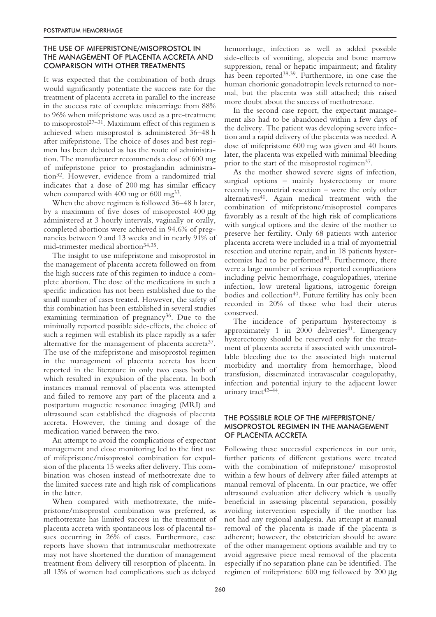### THE USE OF MIFEPRISTONE/MISOPROSTOL IN THE MANAGEMENT OF PLACENTA ACCRETA AND COMPARISON WITH OTHER TREATMENTS

It was expected that the combination of both drugs would significantly potentiate the success rate for the treatment of placenta accreta in parallel to the increase in the success rate of complete miscarriage from 88% to 96% when mifepristone was used as a pre-treatment to misoprostol<sup>27-31</sup>. Maximum effect of this regimen is achieved when misoprostol is administered 36–48 h after mifepristone. The choice of doses and best regimen has been debated as has the route of administration. The manufacturer recommends a dose of 600 mg of mifepristone prior to prostaglandin administration32. However, evidence from a randomized trial indicates that a dose of 200 mg has similar efficacy when compared with  $400 \text{ mg or } 600 \text{ mg}^{33}$ .

When the above regimen is followed 36–48 h later, by a maximum of five doses of misoprostol 400 µg administered at 3 hourly intervals, vaginally or orally, completed abortions were achieved in 94.6% of pregnancies between 9 and 13 weeks and in nearly 91% of mid-trimester medical abortion<sup>34,35</sup>.

The insight to use mifepristone and misoprostol in the management of placenta accreta followed on from the high success rate of this regimen to induce a complete abortion. The dose of the medications in such a specific indication has not been established due to the small number of cases treated. However, the safety of this combination has been established in several studies examining termination of pregnancy $36$ . Due to the minimally reported possible side-effects, the choice of such a regimen will establish its place rapidly as a safer alternative for the management of placenta accreta<sup>37</sup>. The use of the mifepristone and misoprostol regimen in the management of placenta accreta has been reported in the literature in only two cases both of which resulted in expulsion of the placenta. In both instances manual removal of placenta was attempted and failed to remove any part of the placenta and a postpartum magnetic resonance imaging (MRI) and ultrasound scan established the diagnosis of placenta accreta. However, the timing and dosage of the medication varied between the two.

An attempt to avoid the complications of expectant management and close monitoring led to the first use of mifepristone/misoprostol combination for expulsion of the placenta 15 weeks after delivery. This combination was chosen instead of methotrexate due to the limited success rate and high risk of complications in the latter.

When compared with methotrexate, the mifepristone/misoprostol combination was preferred, as methotrexate has limited success in the treatment of placenta accreta with spontaneous loss of placental tissues occurring in 26% of cases. Furthermore, case reports have shown that intramuscular methotrexate may not have shortened the duration of management treatment from delivery till resorption of placenta. In all 13% of women had complications such as delayed

hemorrhage, infection as well as added possible side-effects of vomiting, alopecia and bone marrow suppression, renal or hepatic impairment; and fatality has been reported<sup>38,39</sup>. Furthermore, in one case the human chorionic gonadotropin levels returned to normal, but the placenta was still attached; this raised more doubt about the success of methotrexate.

In the second case report, the expectant management also had to be abandoned within a few days of the delivery. The patient was developing severe infection and a rapid delivery of the placenta was needed. A dose of mifepristone 600 mg was given and 40 hours later, the placenta was expelled with minimal bleeding prior to the start of the misoprostol regimen<sup>37</sup>.

As the mother showed severe signs of infection, surgical options – mainly hysterectomy or more recently myometrial resection – were the only other alternatives<sup>40</sup>. Again medical treatment with the combination of mifepristone/misoprostol compares favorably as a result of the high risk of complications with surgical options and the desire of the mother to preserve her fertility. Only 68 patients with anterior placenta accreta were included in a trial of myometrial resection and uterine repair, and in 18 patients hysterectomies had to be performed<sup>40</sup>. Furthermore, there were a large number of serious reported complications including pelvic hemorrhage, coagulopathies, uterine infection, low ureteral ligations, iatrogenic foreign bodies and collection<sup>40</sup>. Future fertility has only been recorded in 20% of those who had their uterus conserved.

The incidence of peripartum hysterectomy is approximately 1 in  $2000$  deliveries<sup>41</sup>. Emergency hysterectomy should be reserved only for the treatment of placenta accreta if associated with uncontrollable bleeding due to the associated high maternal morbidity and mortality from hemorrhage, blood transfusion, disseminated intravascular coagulopathy, infection and potential injury to the adjacent lower urinary tract<sup>42-44</sup>.

#### THE POSSIBLE ROLE OF THE MIFEPRISTONE/ MISOPROSTOL REGIMEN IN THE MANAGEMENT OF PLACENTA ACCRETA

Following these successful experiences in our unit, further patients of different gestations were treated with the combination of mifepristone/ misoprostol within a few hours of delivery after failed attempts at manual removal of placenta. In our practice, we offer ultrasound evaluation after delivery which is usually beneficial in assessing placental separation, possibly avoiding intervention especially if the mother has not had any regional analgesia. An attempt at manual removal of the placenta is made if the placenta is adherent; however, the obstetrician should be aware of the other management options available and try to avoid aggressive piece meal removal of the placenta especially if no separation plane can be identified. The regimen of mifepristone 600 mg followed by 200 µg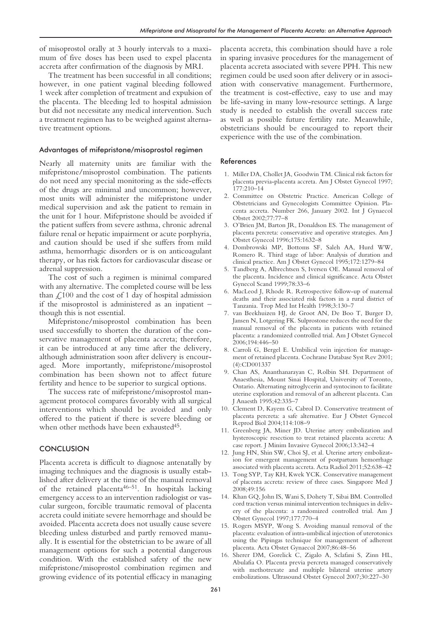of misoprostol orally at 3 hourly intervals to a maximum of five doses has been used to expel placenta accreta after confirmation of the diagnosis by MRI.

The treatment has been successful in all conditions; however, in one patient vaginal bleeding followed 1 week after completion of treatment and expulsion of the placenta. The bleeding led to hospital admission but did not necessitate any medical intervention. Such a treatment regimen has to be weighed against alternative treatment options.

#### Advantages of mifepristone/misoprostol regimen

Nearly all maternity units are familiar with the mifepristone/misoprostol combination. The patients do not need any special monitoring as the side-effects of the drugs are minimal and uncommon; however, most units will administer the mifepristone under medical supervision and ask the patient to remain in the unit for 1 hour. Mifepristone should be avoided if the patient suffers from severe asthma, chronic adrenal failure renal or hepatic impairment or acute porphyria, and caution should be used if she suffers from mild asthma, hemorrhagic disorders or is on anticoagulant therapy, or has risk factors for cardiovascular disease or adrenal suppression.

The cost of such a regimen is minimal compared with any alternative. The completed course will be less than  $\mathcal{L}100$  and the cost of 1 day of hospital admission if the misoprostol is administered as an inpatient – though this is not essential.

Mifepristone/misoprostol combination has been used successfully to shorten the duration of the conservative management of placenta accreta; therefore, it can be introduced at any time after the delivery, although administration soon after delivery is encouraged. More importantly, mifepristone/misoprostol combination has been shown not to affect future fertility and hence to be superior to surgical options.

The success rate of mifepristone/misoprostol management protocol compares favorably with all surgical interventions which should be avoided and only offered to the patient if there is severe bleeding or when other methods have been exhausted<sup>45</sup>.

#### **CONCLUSION**

Placenta accreta is difficult to diagnose antenatally by imaging techniques and the diagnosis is usually established after delivery at the time of the manual removal of the retained placenta<sup>46–51</sup>. In hospitals lacking emergency access to an intervention radiologist or vascular surgeon, forcible traumatic removal of placenta accreta could initiate severe hemorrhage and should be avoided. Placenta accreta does not usually cause severe bleeding unless disturbed and partly removed manually. It is essential for the obstetrician to be aware of all management options for such a potential dangerous condition. With the established safety of the new mifepristone/misoprostol combination regimen and growing evidence of its potential efficacy in managing placenta accreta, this combination should have a role in sparing invasive procedures for the management of placenta accreta associated with severe PPH. This new regimen could be used soon after delivery or in association with conservative management. Furthermore, the treatment is cost-effective, easy to use and may be life-saving in many low-resource settings. A large study is needed to establish the overall success rate as well as possible future fertility rate. Meanwhile, obstetricians should be encouraged to report their experience with the use of the combination.

#### References

- 1. Miller DA, Chollet JA, Goodwin TM. Clinical risk factors for placenta previa-placenta accreta. Am J Obstet Gynecol 1997; 177:210–14
- 2. Committee on Obstetric Practice. American College of Obstetricians and Gynecologists Committee Opinion. Placenta accreta. Number 266, January 2002. Int J Gynaecol Obstet 2002;77:77–8
- 3. O'Brien JM, Barton JR, Donaldson ES. The management of placenta percreta: conservative and operative strategies. Am J Obstet Gynecol 1996;175:1632–8
- 4. Dombrowski MP, Bottoms SF, Saleh AA, Hurd WW, Romero R. Third stage of labor: Analysis of duration and clinical practice. Am J Obstet Gynecol 1995;172:1279–84
- 5. Tandberg A, Albrechtsen S, Iversen OE. Manual removal of the placenta. Incidence and clinical significance. Acta Obstet Gynecol Scand 1999;78:33–6
- 6. MacLeod J, Rhode R. Retrospective follow-up of maternal deaths and their associated risk factors in a rural district of Tanzania. Trop Med Int Health 1998;3:130–7
- 7. van Beekhuizen HJ, de Groot AN, De Boo T, Burger D, Jansen N, Lotgering FK. Sulprostone reduces the need for the manual removal of the placenta in patients with retained placenta: a randomized controlled trial. Am J Obstet Gynecol 2006;194:446–50
- 8. Carroli G, Bergel E. Umbilical vein injection for management of retained placenta. Cochrane Database Syst Rev 2001; (4):CD001337
- 9. Chan AS, Ananthanarayan C, Rolbin SH. Department of Anaesthesia, Mount Sinai Hospital, University of Toronto, Ontario. Alternating nitroglycerin and syntocinon to facilitate uterine exploration and removal of an adherent placenta. Can J Anaesth 1995;42:335–7
- 10. Clement D, Kayem G, Cabrol D. Conservative treatment of placenta percreta: a safe alternative. Eur J Obstet Gynecol Reprod Biol 2004;114:108–9
- 11. Greenberg JA, Miner JD. Uterine artery embolization and hysteroscopic resection to treat retained placenta accreta: A case report. J Minim Invasive Gynecol 2006;13:342–4
- 12. Jung HN, Shin SW, Choi SJ, et al. Uterine artery embolization for emergent management of postpartum hemorrhage associated with placenta accreta. Acta Radiol 2011;52:638–42
- 13. Tong SYP, Tay KH, Kwek YCK. Conservative management of placenta accreta: review of three cases. Singapore Med J 2008;49:156
- 14. Khan GQ, John IS, Wani S, Dohety T, Sibai BM. Controlled cord traction versus minimal intervention techniques in delivery of the placenta: a randomized controlled trial. Am J Obstet Gynecol 1997;177:770–4
- 15. Rogers MSYP, Wong S. Avoiding manual removal of the placenta: evaluation of intra-umbilical injection of uterotonics using the Pipingas technique for management of adherent placenta. Acta Obstet Gynaecol 2007;86:48–56
- 16. Sherer DM, Gorelick C, Zigalo A, Sclafani S, Zinn HL, Abulafia O. Placenta previa percreta managed conservatively with methotrexate and multiple bilateral uterine artery embolizations. Ultrasound Obstet Gynecol 2007;30:227–30